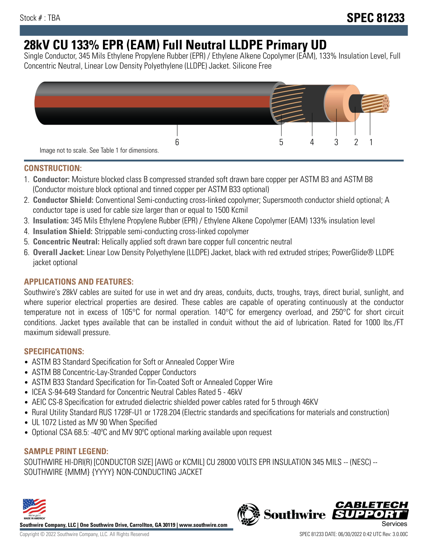# **28kV CU 133% EPR (EAM) Full Neutral LLDPE Primary UD**

Single Conductor, 345 Mils Ethylene Propylene Rubber (EPR) / Ethylene Alkene Copolymer (EAM), 133% Insulation Level, Full Concentric Neutral, Linear Low Density Polyethylene (LLDPE) Jacket. Silicone Free



### **CONSTRUCTION:**

- 1. **Conductor:** Moisture blocked class B compressed stranded soft drawn bare copper per ASTM B3 and ASTM B8 (Conductor moisture block optional and tinned copper per ASTM B33 optional)
- 2. **Conductor Shield:** Conventional Semi-conducting cross-linked copolymer; Supersmooth conductor shield optional; A conductor tape is used for cable size larger than or equal to 1500 Kcmil
- 3. **Insulation:** 345 Mils Ethylene Propylene Rubber (EPR) / Ethylene Alkene Copolymer (EAM) 133% insulation level
- 4. **Insulation Shield:** Strippable semi-conducting cross-linked copolymer
- 5. **Concentric Neutral:** Helically applied soft drawn bare copper full concentric neutral
- 6. **Overall Jacket:** Linear Low Density Polyethylene (LLDPE) Jacket, black with red extruded stripes; PowerGlide® LLDPE jacket optional

# **APPLICATIONS AND FEATURES:**

Southwire's 28kV cables are suited for use in wet and dry areas, conduits, ducts, troughs, trays, direct burial, sunlight, and where superior electrical properties are desired. These cables are capable of operating continuously at the conductor temperature not in excess of 105°C for normal operation. 140°C for emergency overload, and 250°C for short circuit conditions. Jacket types available that can be installed in conduit without the aid of lubrication. Rated for 1000 lbs./FT maximum sidewall pressure.

# **SPECIFICATIONS:**

- ASTM B3 Standard Specification for Soft or Annealed Copper Wire
- ASTM B8 Concentric-Lay-Stranded Copper Conductors
- ASTM B33 Standard Specification for Tin-Coated Soft or Annealed Copper Wire
- ICEA S-94-649 Standard for Concentric Neutral Cables Rated 5 46kV
- AEIC CS-8 Specification for extruded dielectric shielded power cables rated for 5 through 46KV
- Rural Utility Standard RUS 1728F-U1 or 1728.204 (Electric standards and specifications for materials and construction)
- UL 1072 Listed as MV 90 When Specified
- Optional CSA 68.5: -40°C and MV 90°C optional marking available upon request

# **SAMPLE PRINT LEGEND:**

SOUTHWIRE HI-DRI(R) [CONDUCTOR SIZE] [AWG or KCMIL] CU 28000 VOLTS EPR INSULATION 345 MILS -- (NESC) -- SOUTHWIRE {MMM} {YYYY} NON-CONDUCTING JACKET



**Southwire Company, LLC | One Southwire Drive, Carrollton, GA 30119 | www.southwire.com**